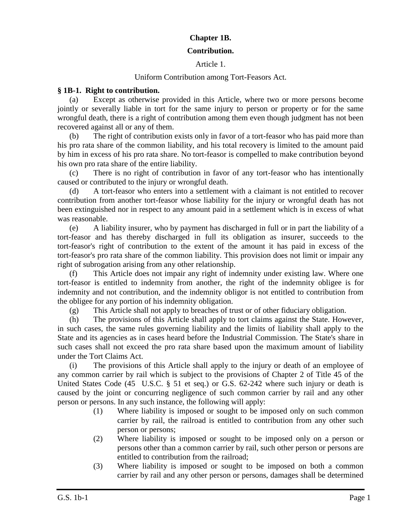# **Chapter 1B.**

#### **Contribution.**

### Article 1.

## Uniform Contribution among Tort-Feasors Act.

#### **§ 1B-1. Right to contribution.**

(a) Except as otherwise provided in this Article, where two or more persons become jointly or severally liable in tort for the same injury to person or property or for the same wrongful death, there is a right of contribution among them even though judgment has not been recovered against all or any of them.

(b) The right of contribution exists only in favor of a tort-feasor who has paid more than his pro rata share of the common liability, and his total recovery is limited to the amount paid by him in excess of his pro rata share. No tort-feasor is compelled to make contribution beyond his own pro rata share of the entire liability.

(c) There is no right of contribution in favor of any tort-feasor who has intentionally caused or contributed to the injury or wrongful death.

(d) A tort-feasor who enters into a settlement with a claimant is not entitled to recover contribution from another tort-feasor whose liability for the injury or wrongful death has not been extinguished nor in respect to any amount paid in a settlement which is in excess of what was reasonable.

(e) A liability insurer, who by payment has discharged in full or in part the liability of a tort-feasor and has thereby discharged in full its obligation as insurer, succeeds to the tort-feasor's right of contribution to the extent of the amount it has paid in excess of the tort-feasor's pro rata share of the common liability. This provision does not limit or impair any right of subrogation arising from any other relationship.

(f) This Article does not impair any right of indemnity under existing law. Where one tort-feasor is entitled to indemnity from another, the right of the indemnity obligee is for indemnity and not contribution, and the indemnity obligor is not entitled to contribution from the obligee for any portion of his indemnity obligation.

(g) This Article shall not apply to breaches of trust or of other fiduciary obligation.

(h) The provisions of this Article shall apply to tort claims against the State. However, in such cases, the same rules governing liability and the limits of liability shall apply to the State and its agencies as in cases heard before the Industrial Commission. The State's share in such cases shall not exceed the pro rata share based upon the maximum amount of liability under the Tort Claims Act.

(i) The provisions of this Article shall apply to the injury or death of an employee of any common carrier by rail which is subject to the provisions of Chapter 2 of Title 45 of the United States Code (45 U.S.C. § 51 et seq.) or G.S. 62-242 where such injury or death is caused by the joint or concurring negligence of such common carrier by rail and any other person or persons. In any such instance, the following will apply:

- (1) Where liability is imposed or sought to be imposed only on such common carrier by rail, the railroad is entitled to contribution from any other such person or persons;
- (2) Where liability is imposed or sought to be imposed only on a person or persons other than a common carrier by rail, such other person or persons are entitled to contribution from the railroad;
- (3) Where liability is imposed or sought to be imposed on both a common carrier by rail and any other person or persons, damages shall be determined